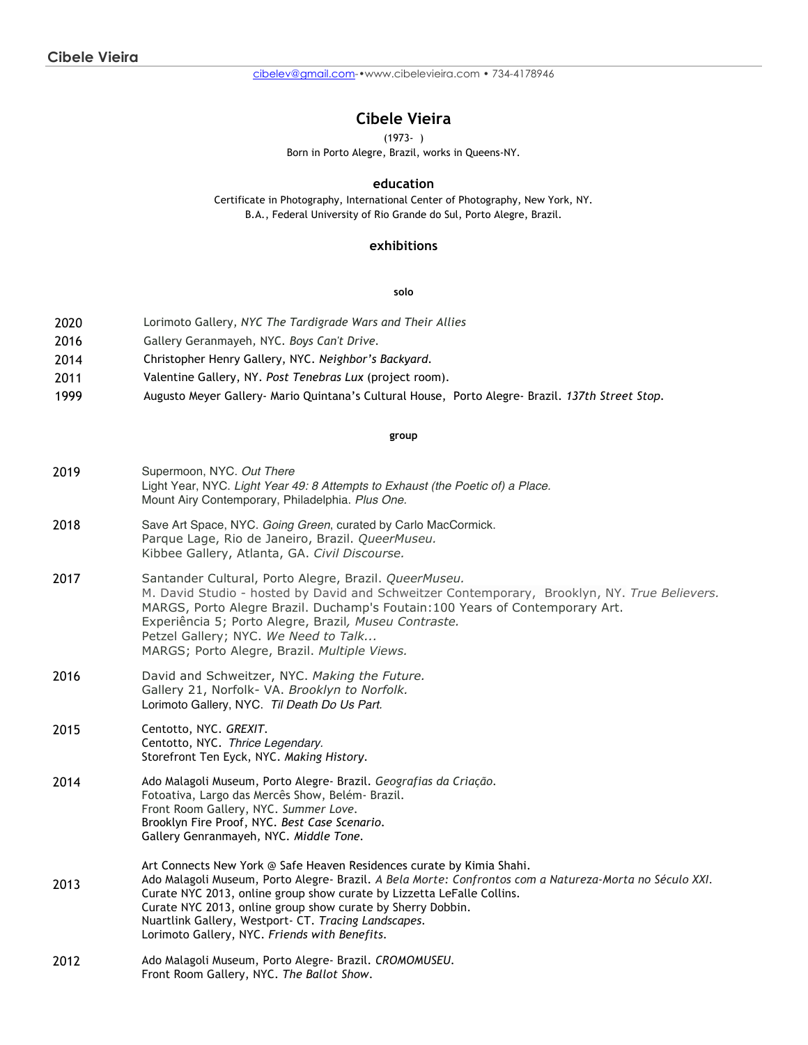cibelev@gmail.com-•www.cibelevieira.com • 734-4178946

# **Cibele Vieira**

(1973- )

Born in Porto Alegre, Brazil, works in Queens-NY.

## **education**

Certificate in Photography, International Center of Photography, New York, NY. B.A., Federal University of Rio Grande do Sul, Porto Alegre, Brazil.

## **exhibitions**

#### **solo**

| 2020 | Lorimoto Gallery, NYC The Tardigrade Wars and Their Allies |  |  |  |
|------|------------------------------------------------------------|--|--|--|
|      |                                                            |  |  |  |

- 2016 Gallery Geranmayeh*,* NYC*. Boys Can't Drive.*
- 2014 Christopher Henry Gallery, NYC. *Neighbor's Backyard.*
- 2011 Valentine Gallery, NY. *Post Tenebras Lux* (project room).
- 1999 Augusto Meyer Gallery- Mario Quintana's Cultural House, Porto Alegre- Brazil. *137th Street Stop.*

#### **group**

- 2019 Supermoon, NYC. *Out There* Light Year, NYC. *Light Year 49: 8 Attempts to Exhaust (the Poetic of) a Place.* Mount Airy Contemporary, Philadelphia. *Plus One.*
- 2018 Save Art Space, NYC. *Going Green*, curated by Carlo MacCormick. Parque Lage, Rio de Janeiro, Brazil. *QueerMuseu.* Kibbee Gallery, Atlanta, GA. *Civil Discourse.*
- 2017 Santander Cultural, Porto Alegre, Brazil. *QueerMuseu.* M. David Studio - hosted by David and Schweitzer Contemporary, Brooklyn, NY. *True Believers.* MARGS, Porto Alegre Brazil. Duchamp's Foutain:100 Years of Contemporary Art. Experiência 5; Porto Alegre, Brazil*, Museu Contraste.* Petzel Gallery; NYC. *We Need to Talk...* MARGS; Porto Alegre, Brazil. *Multiple Views.*
- 2016 David and Schweitzer, NYC. *Making the Future.* Gallery 21, Norfolk- VA. *Brooklyn to Norfolk.* Lorimoto Gallery, NYC. *Til Death Do Us Part.*
- 2015 Centotto, NYC. *GREXIT.* Centotto, NYC. *Thrice Legendary.* Storefront Ten Eyck, NYC. *Making History.*
- 2014 Ado Malagoli Museum, Porto Alegre- Brazil. *Geografias da Criação.* Fotoativa, Largo das Mercês Show, Belém- Brazil. Front Room Gallery, NYC. *Summer Love.* Brooklyn Fire Proof, NYC. *Best Case Scenario.* Gallery Genranmayeh*,* NYC*. Middle Tone.*
- 2013 Art Connects New York @ Safe Heaven Residences curate by Kimia Shahi. Ado Malagoli Museum, Porto Alegre- Brazil. *A Bela Morte: Confrontos com a Natureza-Morta no Século XXI*. Curate NYC 2013, online group show curate by Lizzetta LeFalle Collins. Curate NYC 2013, online group show curate by Sherry Dobbin. Nuartlink Gallery, Westport- CT. *Tracing Landscapes.* Lorimoto Gallery, NYC. *Friends with Benefits.*
- 2012 Ado Malagoli Museum, Porto Alegre- Brazil. *CROMOMUSEU.* Front Room Gallery, NYC. *The Ballot Show*.